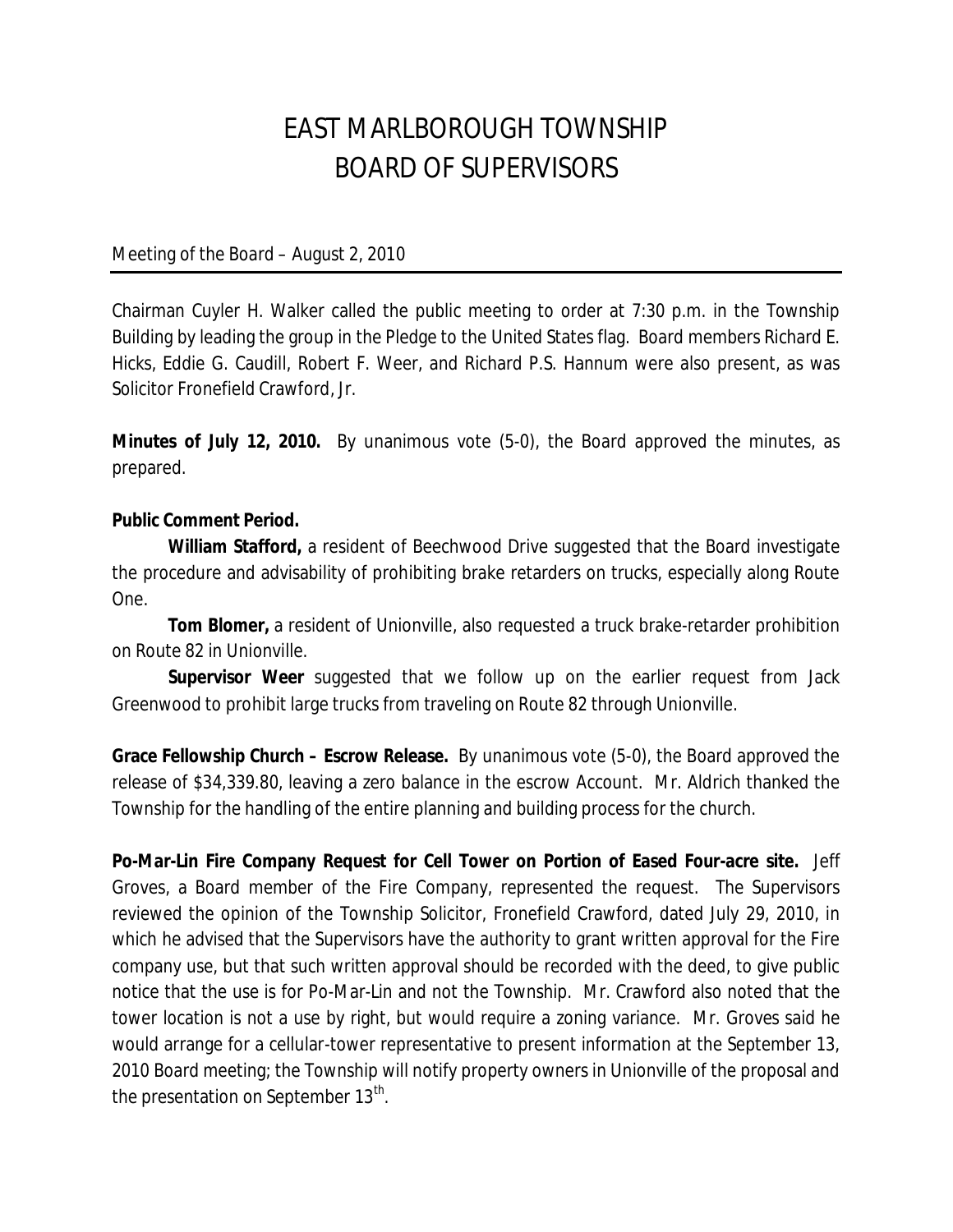## EAST MARLBOROUGH TOWNSHIP BOARD OF SUPERVISORS

Meeting of the Board – August 2, 2010

Chairman Cuyler H. Walker called the public meeting to order at 7:30 p.m. in the Township Building by leading the group in the Pledge to the United States flag. Board members Richard E. Hicks, Eddie G. Caudill, Robert F. Weer, and Richard P.S. Hannum were also present, as was Solicitor Fronefield Crawford, Jr.

**Minutes of July 12, 2010.** By unanimous vote (5-0), the Board approved the minutes, as prepared.

## **Public Comment Period.**

**William Stafford,** a resident of Beechwood Drive suggested that the Board investigate the procedure and advisability of prohibiting brake retarders on trucks, especially along Route One.

**Tom Blomer,** a resident of Unionville, also requested a truck brake-retarder prohibition on Route 82 in Unionville.

**Supervisor Weer** suggested that we follow up on the earlier request from Jack Greenwood to prohibit large trucks from traveling on Route 82 through Unionville.

**Grace Fellowship Church – Escrow Release.** By unanimous vote (5-0), the Board approved the release of \$34,339.80, leaving a zero balance in the escrow Account. Mr. Aldrich thanked the Township for the handling of the entire planning and building process for the church.

**Po-Mar-Lin Fire Company Request for Cell Tower on Portion of Eased Four-acre site.** Jeff Groves, a Board member of the Fire Company, represented the request. The Supervisors reviewed the opinion of the Township Solicitor, Fronefield Crawford, dated July 29, 2010, in which he advised that the Supervisors have the authority to grant written approval for the Fire company use, but that such written approval should be recorded with the deed, to give public notice that the use is for Po-Mar-Lin and not the Township. Mr. Crawford also noted that the tower location is not a use by right, but would require a zoning variance. Mr. Groves said he would arrange for a cellular-tower representative to present information at the September 13, 2010 Board meeting; the Township will notify property owners in Unionville of the proposal and the presentation on September 13<sup>th</sup>.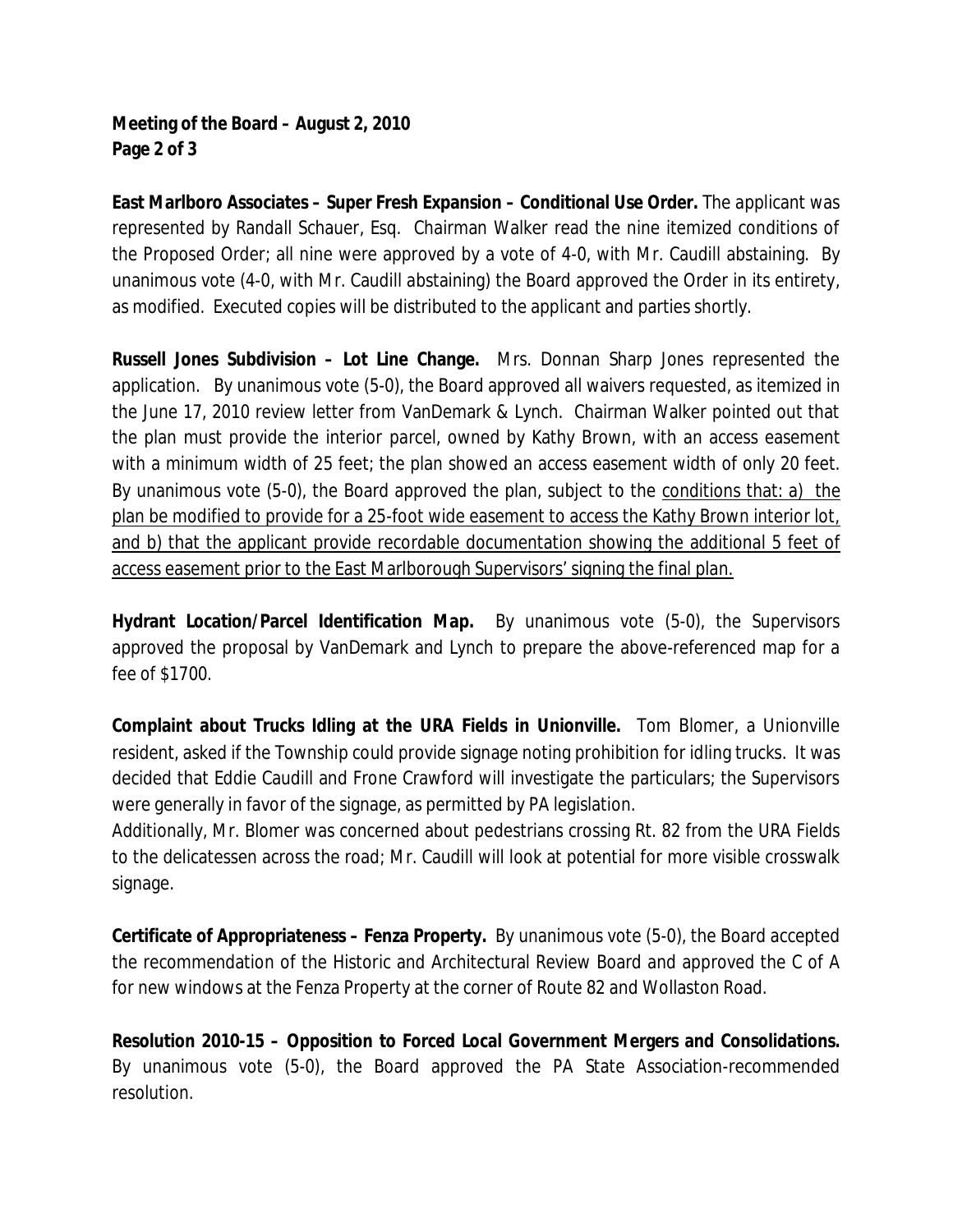## **Meeting of the Board – August 2, 2010 Page 2 of 3**

**East Marlboro Associates – Super Fresh Expansion – Conditional Use Order.** The applicant was represented by Randall Schauer, Esq. Chairman Walker read the nine itemized conditions of the Proposed Order; all nine were approved by a vote of 4-0, with Mr. Caudill abstaining. By unanimous vote (4-0, with Mr. Caudill abstaining) the Board approved the Order in its entirety, as modified. Executed copies will be distributed to the applicant and parties shortly.

**Russell Jones Subdivision – Lot Line Change.** Mrs. Donnan Sharp Jones represented the application. By unanimous vote (5-0), the Board approved all waivers requested, as itemized in the June 17, 2010 review letter from VanDemark & Lynch. Chairman Walker pointed out that the plan must provide the interior parcel, owned by Kathy Brown, with an access easement with a minimum width of 25 feet; the plan showed an access easement width of only 20 feet. By unanimous vote (5-0), the Board approved the plan, subject to the conditions that: a) the plan be modified to provide for a 25-foot wide easement to access the Kathy Brown interior lot, and b) that the applicant provide recordable documentation showing the additional 5 feet of access easement prior to the East Marlborough Supervisors' signing the final plan.

**Hydrant Location/Parcel Identification Map.** By unanimous vote (5-0), the Supervisors approved the proposal by VanDemark and Lynch to prepare the above-referenced map for a fee of \$1700.

**Complaint about Trucks Idling at the URA Fields in Unionville.** Tom Blomer, a Unionville resident, asked if the Township could provide signage noting prohibition for idling trucks. It was decided that Eddie Caudill and Frone Crawford will investigate the particulars; the Supervisors were generally in favor of the signage, as permitted by PA legislation.

Additionally, Mr. Blomer was concerned about pedestrians crossing Rt. 82 from the URA Fields to the delicatessen across the road; Mr. Caudill will look at potential for more visible crosswalk signage.

**Certificate of Appropriateness – Fenza Property.** By unanimous vote (5-0), the Board accepted the recommendation of the Historic and Architectural Review Board and approved the C of A for new windows at the Fenza Property at the corner of Route 82 and Wollaston Road.

**Resolution 2010-15 – Opposition to Forced Local Government Mergers and Consolidations.**  By unanimous vote (5-0), the Board approved the PA State Association-recommended resolution.